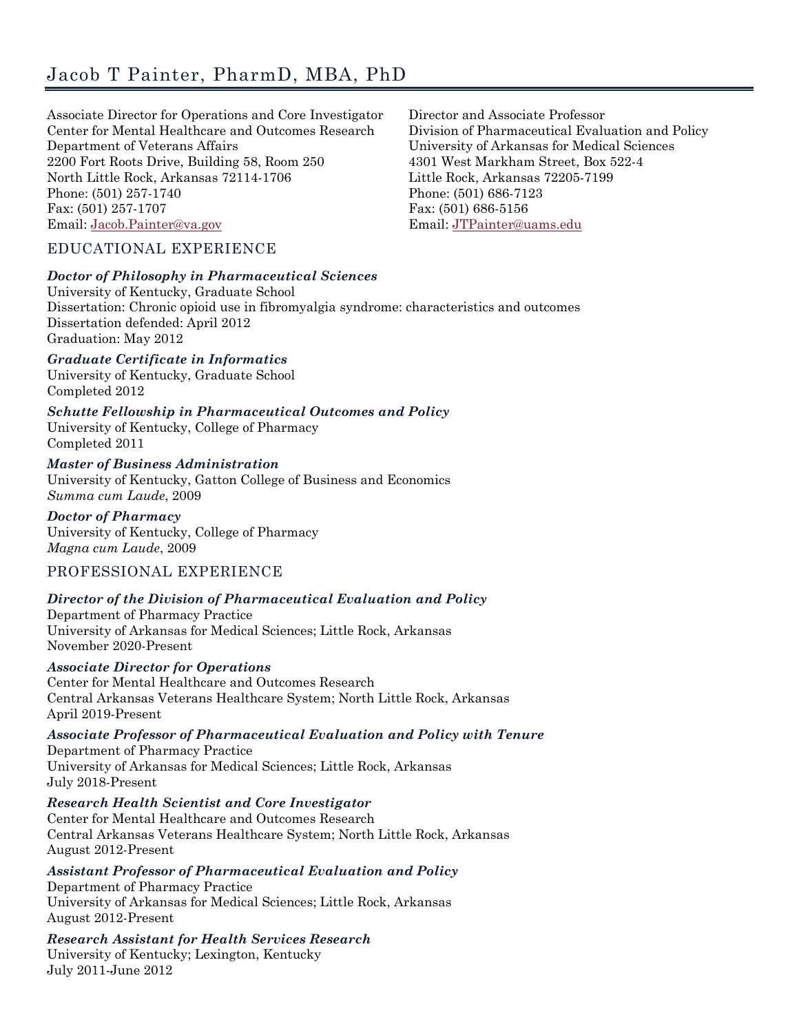Associate Director for Operations and Core Investigator Center for Mental Healthcare and Outcomes Research Department of Veterans Affairs 2200 Fort Roots Drive, Building 58, Room 250 North Little Rock, Arkansas 72114-1706 Phone: (501) 257-1740 Fax: (501) 257-1707 Email: [Jacob.Painter@va.gov](mailto:Jacob.Painter@va.gov)

Director and Associate Professor Division of Pharmaceutical Evaluation and Policy University of Arkansas for Medical Sciences 4301 West Markham Street, Box 522-4 Little Rock, Arkansas 72205-7199 Phone: (501) 686-7123 Fax: (501) 686-5156 Email[: JTPainter@uams.edu](mailto:JTPainter@uams.edu)

## EDUCATIONAL EXPERIENCE

#### *Doctor of Philosophy in Pharmaceutical Sciences*

University of Kentucky, Graduate School Dissertation: Chronic opioid use in fibromyalgia syndrome: characteristics and outcomes Dissertation defended: April 2012 Graduation: May 2012

*Graduate Certificate in Informatics* University of Kentucky, Graduate School

Completed 2012

*Schutte Fellowship in Pharmaceutical Outcomes and Policy* University of Kentucky, College of Pharmacy

Completed 2011 *Master of Business Administration*

University of Kentucky, Gatton College of Business and Economics *Summa cum Laude*, 2009

*Doctor of Pharmacy* University of Kentucky, College of Pharmacy *Magna cum Laude*, 2009

# PROFESSIONAL EXPERIENCE

## *Director of the Division of Pharmaceutical Evaluation and Policy*

Department of Pharmacy Practice University of Arkansas for Medical Sciences; Little Rock, Arkansas November 2020-Present

*Associate Director for Operations* Center for Mental Healthcare and Outcomes Research Central Arkansas Veterans Healthcare System; North Little Rock, Arkansas April 2019-Present

*Associate Professor of Pharmaceutical Evaluation and Policy with Tenure* Department of Pharmacy Practice

University of Arkansas for Medical Sciences; Little Rock, Arkansas July 2018-Present

*Research Health Scientist and Core Investigator*

Center for Mental Healthcare and Outcomes Research Central Arkansas Veterans Healthcare System; North Little Rock, Arkansas August 2012-Present

*Assistant Professor of Pharmaceutical Evaluation and Policy*

Department of Pharmacy Practice University of Arkansas for Medical Sciences; Little Rock, Arkansas August 2012-Present

*Research Assistant for Health Services Research*

University of Kentucky; Lexington, Kentucky July 2011-June 2012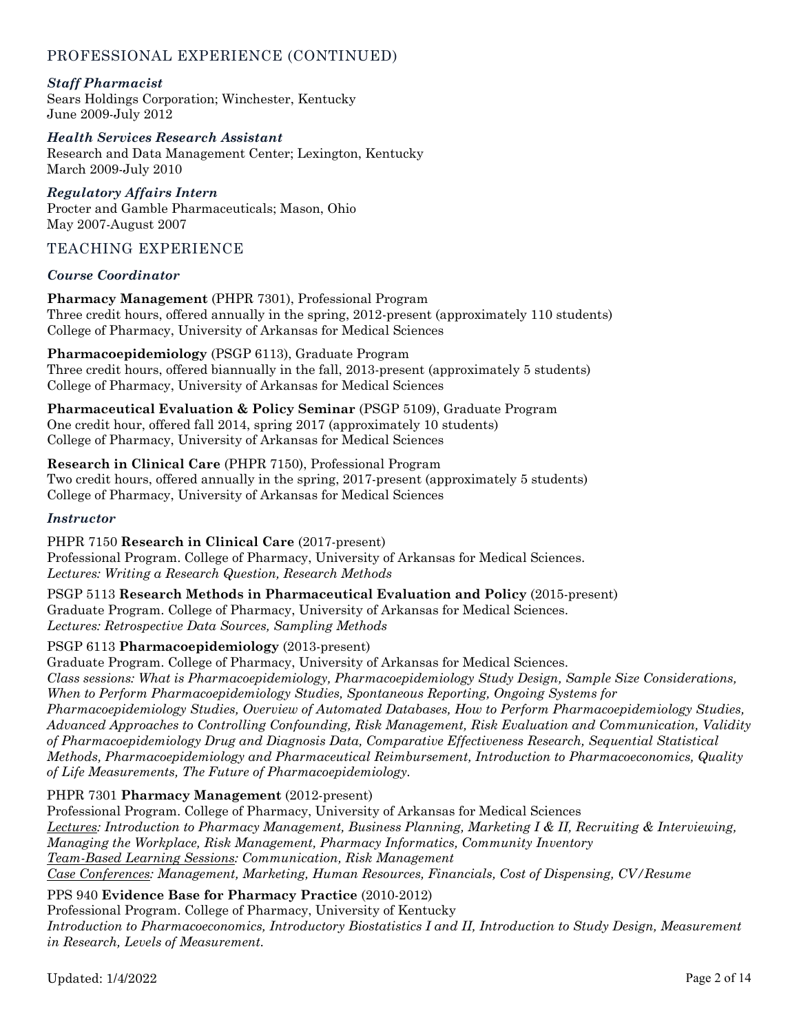## *Staff Pharmacist*

Sears Holdings Corporation; Winchester, Kentucky June 2009-July 2012

*Health Services Research Assistant* Research and Data Management Center; Lexington, Kentucky March 2009-July 2010

*Regulatory Affairs Intern* Procter and Gamble Pharmaceuticals; Mason, Ohio May 2007-August 2007

# TEACHING EXPERIENCE

## *Course Coordinator*

**Pharmacy Management** (PHPR 7301), Professional Program Three credit hours, offered annually in the spring, 2012-present (approximately 110 students) College of Pharmacy, University of Arkansas for Medical Sciences

**Pharmacoepidemiology** (PSGP 6113), Graduate Program Three credit hours, offered biannually in the fall, 2013-present (approximately 5 students) College of Pharmacy, University of Arkansas for Medical Sciences

**Pharmaceutical Evaluation & Policy Seminar** (PSGP 5109), Graduate Program One credit hour, offered fall 2014, spring 2017 (approximately 10 students) College of Pharmacy, University of Arkansas for Medical Sciences

**Research in Clinical Care** (PHPR 7150), Professional Program Two credit hours, offered annually in the spring, 2017-present (approximately 5 students) College of Pharmacy, University of Arkansas for Medical Sciences

#### *Instructor*

PHPR 7150 **Research in Clinical Care** (2017-present) Professional Program. College of Pharmacy, University of Arkansas for Medical Sciences. *Lectures: Writing a Research Question, Research Methods*

PSGP 5113 **Research Methods in Pharmaceutical Evaluation and Policy** (2015-present) Graduate Program. College of Pharmacy, University of Arkansas for Medical Sciences. *Lectures: Retrospective Data Sources, Sampling Methods*

## PSGP 6113 **Pharmacoepidemiology** (2013-present)

Graduate Program. College of Pharmacy, University of Arkansas for Medical Sciences. *Class sessions: What is Pharmacoepidemiology, Pharmacoepidemiology Study Design, Sample Size Considerations, When to Perform Pharmacoepidemiology Studies, Spontaneous Reporting, Ongoing Systems for Pharmacoepidemiology Studies, Overview of Automated Databases, How to Perform Pharmacoepidemiology Studies, Advanced Approaches to Controlling Confounding, Risk Management, Risk Evaluation and Communication, Validity of Pharmacoepidemiology Drug and Diagnosis Data, Comparative Effectiveness Research, Sequential Statistical Methods, Pharmacoepidemiology and Pharmaceutical Reimbursement, Introduction to Pharmacoeconomics, Quality of Life Measurements, The Future of Pharmacoepidemiology.*

## PHPR 7301 **Pharmacy Management** (2012-present)

Professional Program. College of Pharmacy, University of Arkansas for Medical Sciences *Lectures: Introduction to Pharmacy Management, Business Planning, Marketing I & II, Recruiting & Interviewing, Managing the Workplace, Risk Management, Pharmacy Informatics, Community Inventory Team-Based Learning Sessions: Communication, Risk Management Case Conferences: Management, Marketing, Human Resources, Financials, Cost of Dispensing, CV/Resume*

## PPS 940 **Evidence Base for Pharmacy Practice** (2010-2012)

Professional Program. College of Pharmacy, University of Kentucky *Introduction to Pharmacoeconomics, Introductory Biostatistics I and II, Introduction to Study Design, Measurement in Research, Levels of Measurement.*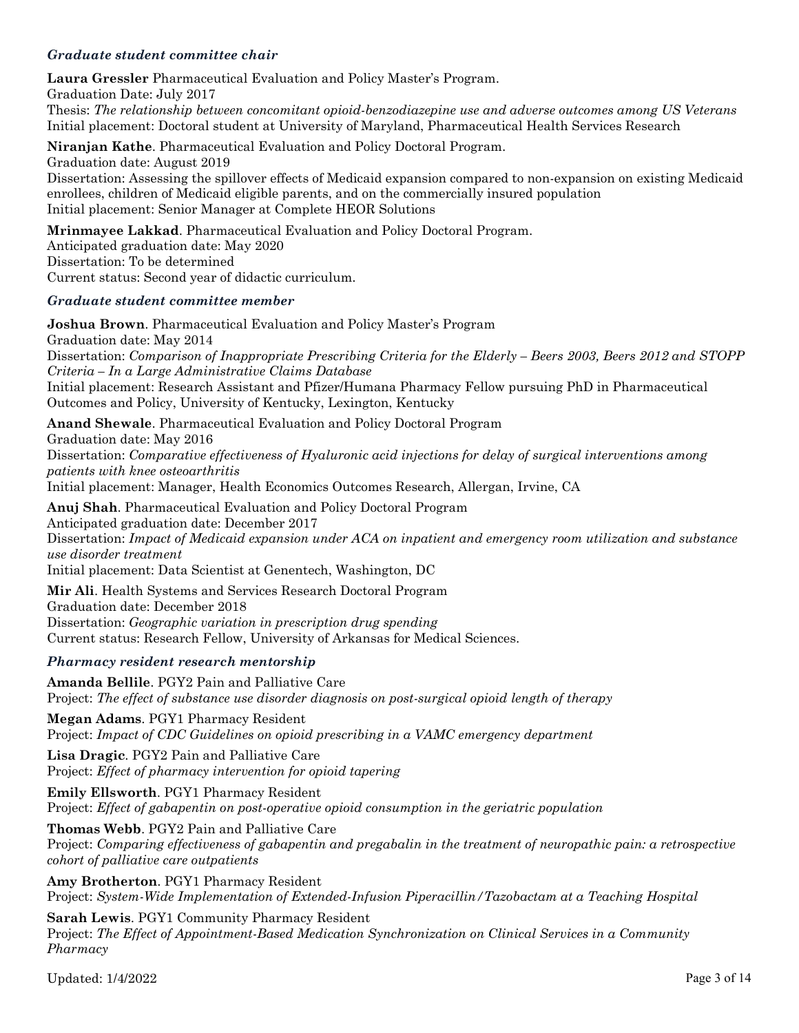## *Graduate student committee chair*

**Laura Gressler** Pharmaceutical Evaluation and Policy Master's Program. Graduation Date: July 2017 Thesis: *The relationship between concomitant opioid-benzodiazepine use and adverse outcomes among US Veterans* Initial placement: Doctoral student at University of Maryland, Pharmaceutical Health Services Research

**Niranjan Kathe**. Pharmaceutical Evaluation and Policy Doctoral Program. Graduation date: August 2019 Dissertation: Assessing the spillover effects of Medicaid expansion compared to non-expansion on existing Medicaid enrollees, children of Medicaid eligible parents, and on the commercially insured population Initial placement: Senior Manager at Complete HEOR Solutions

**Mrinmayee Lakkad**. Pharmaceutical Evaluation and Policy Doctoral Program. Anticipated graduation date: May 2020 Dissertation: To be determined Current status: Second year of didactic curriculum.

#### *Graduate student committee member*

**Joshua Brown**. Pharmaceutical Evaluation and Policy Master's Program Graduation date: May 2014 Dissertation: *Comparison of Inappropriate Prescribing Criteria for the Elderly – Beers 2003, Beers 2012 and STOPP Criteria – In a Large Administrative Claims Database* Initial placement: Research Assistant and Pfizer/Humana Pharmacy Fellow pursuing PhD in Pharmaceutical Outcomes and Policy, University of Kentucky, Lexington, Kentucky

**Anand Shewale**. Pharmaceutical Evaluation and Policy Doctoral Program Graduation date: May 2016 Dissertation: *Comparative effectiveness of Hyaluronic acid injections for delay of surgical interventions among patients with knee osteoarthritis* Initial placement: Manager, Health Economics Outcomes Research, Allergan, Irvine, CA

**Anuj Shah**. Pharmaceutical Evaluation and Policy Doctoral Program Anticipated graduation date: December 2017 Dissertation: *Impact of Medicaid expansion under ACA on inpatient and emergency room utilization and substance use disorder treatment*

Initial placement: Data Scientist at Genentech, Washington, DC

**Mir Ali**. Health Systems and Services Research Doctoral Program Graduation date: December 2018 Dissertation: *Geographic variation in prescription drug spending* Current status: Research Fellow, University of Arkansas for Medical Sciences.

## *Pharmacy resident research mentorship*

**Amanda Bellile**. PGY2 Pain and Palliative Care Project: *The effect of substance use disorder diagnosis on post-surgical opioid length of therapy*

**Megan Adams**. PGY1 Pharmacy Resident Project: *Impact of CDC Guidelines on opioid prescribing in a VAMC emergency department*

**Lisa Dragic**. PGY2 Pain and Palliative Care Project: *Effect of pharmacy intervention for opioid tapering*

**Emily Ellsworth**. PGY1 Pharmacy Resident Project: *Effect of gabapentin on post-operative opioid consumption in the geriatric population*

**Thomas Webb**. PGY2 Pain and Palliative Care Project: *Comparing effectiveness of gabapentin and pregabalin in the treatment of neuropathic pain: a retrospective cohort of palliative care outpatients*

**Amy Brotherton**. PGY1 Pharmacy Resident Project: *System-Wide Implementation of Extended-Infusion Piperacillin/Tazobactam at a Teaching Hospital*

**Sarah Lewis**. PGY1 Community Pharmacy Resident Project: *The Effect of Appointment-Based Medication Synchronization on Clinical Services in a Community Pharmacy*

Updated:  $1/4/2022$  Page 3 of 14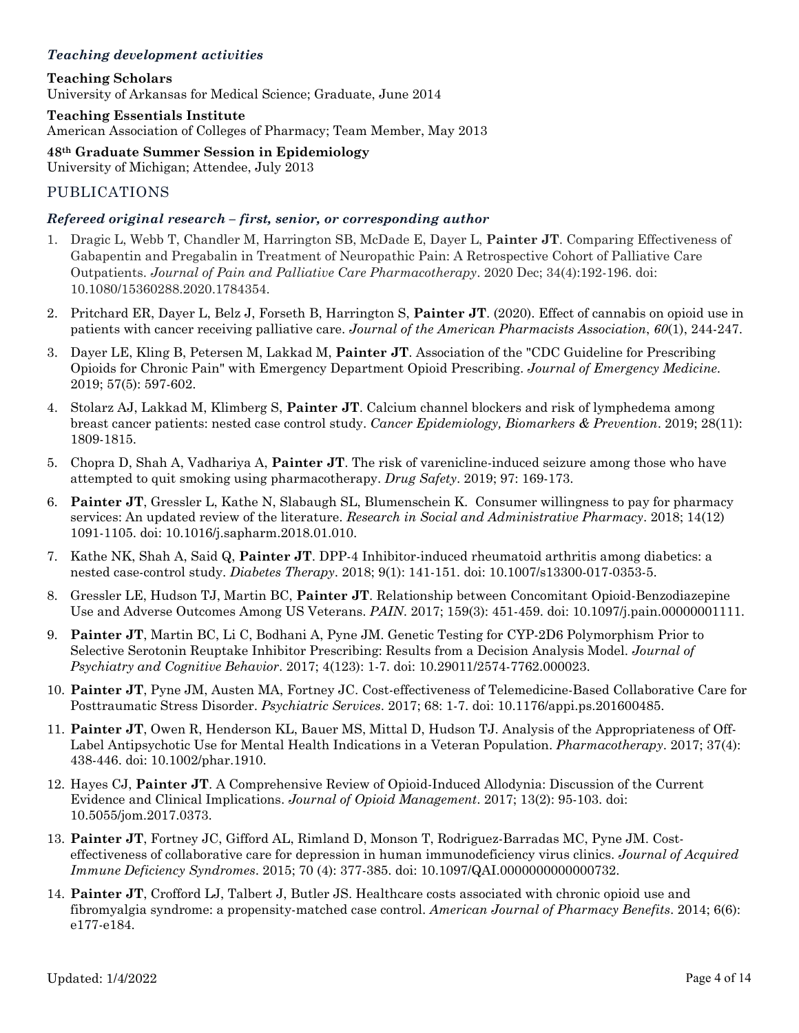# *Teaching development activities*

**Teaching Scholars** University of Arkansas for Medical Science; Graduate, June 2014

#### **Teaching Essentials Institute**

American Association of Colleges of Pharmacy; Team Member, May 2013

**48th Graduate Summer Session in Epidemiology** University of Michigan; Attendee, July 2013

## PUBLICATIONS

#### *Refereed original research – first, senior, or corresponding author*

- 1. Dragic L, Webb T, Chandler M, Harrington SB, McDade E, Dayer L, **Painter JT**. Comparing Effectiveness of Gabapentin and Pregabalin in Treatment of Neuropathic Pain: A Retrospective Cohort of Palliative Care Outpatients. *Journal of Pain and Palliative Care Pharmacotherapy*. 2020 Dec; 34(4):192-196. doi: 10.1080/15360288.2020.1784354.
- 2. Pritchard ER, Dayer L, Belz J, Forseth B, Harrington S, **Painter JT**. (2020). Effect of cannabis on opioid use in patients with cancer receiving palliative care. *Journal of the American Pharmacists Association*, *60*(1), 244-247.
- 3. Dayer LE, Kling B, Petersen M, Lakkad M, **Painter JT**. Association of the "CDC Guideline for Prescribing Opioids for Chronic Pain" with Emergency Department Opioid Prescribing. *Journal of Emergency Medicine*. 2019; 57(5): 597-602.
- 4. Stolarz AJ, Lakkad M, Klimberg S, **Painter JT**. Calcium channel blockers and risk of lymphedema among breast cancer patients: nested case control study. *Cancer Epidemiology, Biomarkers & Prevention*. 2019; 28(11): 1809-1815.
- 5. Chopra D, Shah A, Vadhariya A, **Painter JT**. The risk of varenicline-induced seizure among those who have attempted to quit smoking using pharmacotherapy. *Drug Safety*. 2019; 97: 169-173.
- 6. **Painter JT**, Gressler L, Kathe N, Slabaugh SL, Blumenschein K. Consumer willingness to pay for pharmacy services: An updated review of the literature. *Research in Social and Administrative Pharmacy*. 2018; 14(12) 1091-1105. doi: 10.1016/j.sapharm.2018.01.010.
- 7. Kathe NK, Shah A, Said Q, **Painter JT**. DPP-4 Inhibitor-induced rheumatoid arthritis among diabetics: a nested case-control study. *Diabetes Therapy*. 2018; 9(1): 141-151. doi: 10.1007/s13300-017-0353-5.
- 8. Gressler LE, Hudson TJ, Martin BC, **Painter JT**. Relationship between Concomitant Opioid-Benzodiazepine Use and Adverse Outcomes Among US Veterans. *PAIN*. 2017; 159(3): 451-459. doi: 10.1097/j.pain.00000001111.
- 9. **Painter JT**, Martin BC, Li C, Bodhani A, Pyne JM. Genetic Testing for CYP-2D6 Polymorphism Prior to Selective Serotonin Reuptake Inhibitor Prescribing: Results from a Decision Analysis Model. *Journal of Psychiatry and Cognitive Behavior*. 2017; 4(123): 1-7. doi: 10.29011/2574-7762.000023.
- 10. **Painter JT**, Pyne JM, Austen MA, Fortney JC. Cost-effectiveness of Telemedicine-Based Collaborative Care for Posttraumatic Stress Disorder. *Psychiatric Services*. 2017; 68: 1-7. doi: 10.1176/appi.ps.201600485.
- 11. **Painter JT**, Owen R, Henderson KL, Bauer MS, Mittal D, Hudson TJ. Analysis of the Appropriateness of Off-Label Antipsychotic Use for Mental Health Indications in a Veteran Population. *Pharmacotherapy*. 2017; 37(4): 438-446. doi: 10.1002/phar.1910.
- 12. Hayes CJ, **Painter JT**. A Comprehensive Review of Opioid-Induced Allodynia: Discussion of the Current Evidence and Clinical Implications. *Journal of Opioid Management*. 2017; 13(2): 95-103. doi: 10.5055/jom.2017.0373.
- 13. **Painter JT**, Fortney JC, Gifford AL, Rimland D, Monson T, Rodriguez-Barradas MC, Pyne JM. Costeffectiveness of collaborative care for depression in human immunodeficiency virus clinics. *Journal of Acquired Immune Deficiency Syndromes*. 2015; 70 (4): 377-385. doi: 10.1097/QAI.0000000000000732.
- 14. **Painter JT**, Crofford LJ, Talbert J, Butler JS. Healthcare costs associated with chronic opioid use and fibromyalgia syndrome: a propensity-matched case control. *American Journal of Pharmacy Benefits*. 2014; 6(6): e177-e184.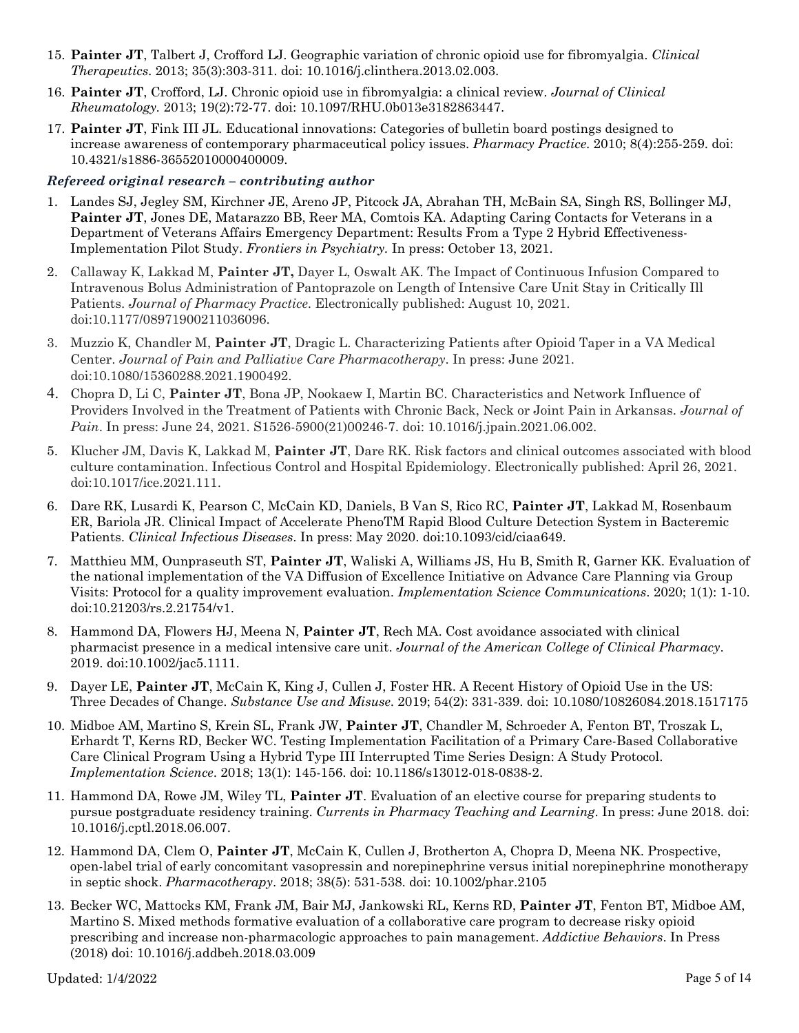- 15. **Painter JT**, Talbert J, Crofford LJ. Geographic variation of chronic opioid use for fibromyalgia. *Clinical Therapeutics*. 2013; 35(3):303-311. doi: 10.1016/j.clinthera.2013.02.003.
- 16. **Painter JT**, Crofford, LJ. Chronic opioid use in fibromyalgia: a clinical review. *Journal of Clinical Rheumatology.* 2013; 19(2):72-77. doi: 10.1097/RHU.0b013e3182863447.
- 17. **Painter JT**, Fink III JL. Educational innovations: Categories of bulletin board postings designed to increase awareness of contemporary pharmaceutical policy issues. *Pharmacy Practice*. 2010; 8(4):255-259. doi: 10.4321/s1886-36552010000400009.

## *Refereed original research – contributing author*

- 1. Landes SJ, Jegley SM, Kirchner JE, Areno JP, Pitcock JA, Abrahan TH, McBain SA, Singh RS, Bollinger MJ, **Painter JT**, Jones DE, Matarazzo BB, Reer MA, Comtois KA. Adapting Caring Contacts for Veterans in a Department of Veterans Affairs Emergency Department: Results From a Type 2 Hybrid Effectiveness-Implementation Pilot Study. *Frontiers in Psychiatry.* In press: October 13, 2021.
- 2. Callaway K, Lakkad M, **Painter JT,** Dayer L, Oswalt AK. The Impact of Continuous Infusion Compared to Intravenous Bolus Administration of Pantoprazole on Length of Intensive Care Unit Stay in Critically Ill Patients. *Journal of Pharmacy Practice*. Electronically published: August 10, 2021. doi:10.1177/08971900211036096.
- 3. Muzzio K, Chandler M, **Painter JT**, Dragic L. Characterizing Patients after Opioid Taper in a VA Medical Center. *Journal of Pain and Palliative Care Pharmacotherapy*. In press: June 2021. doi:10.1080/15360288.2021.1900492.
- 4. Chopra D, Li C, **Painter JT**, Bona JP, Nookaew I, Martin BC. Characteristics and Network Influence of Providers Involved in the Treatment of Patients with Chronic Back, Neck or Joint Pain in Arkansas. *Journal of Pain*. In press: June 24, 2021. S1526-5900(21)00246-7. doi: 10.1016/j.jpain.2021.06.002.
- 5. Klucher JM, Davis K, Lakkad M, **Painter JT**, Dare RK. Risk factors and clinical outcomes associated with blood culture contamination. Infectious Control and Hospital Epidemiology. Electronically published: April 26, 2021. doi:10.1017/ice.2021.111.
- 6. Dare RK, Lusardi K, Pearson C, McCain KD, Daniels, B Van S, Rico RC, **Painter JT**, Lakkad M, Rosenbaum ER, Bariola JR. Clinical Impact of Accelerate PhenoTM Rapid Blood Culture Detection System in Bacteremic Patients. *Clinical Infectious Diseases*. In press: May 2020. doi:10.1093/cid/ciaa649.
- 7. Matthieu MM, Ounpraseuth ST, **Painter JT**, Waliski A, Williams JS, Hu B, Smith R, Garner KK. Evaluation of the national implementation of the VA Diffusion of Excellence Initiative on Advance Care Planning via Group Visits: Protocol for a quality improvement evaluation. *Implementation Science Communications*. 2020; 1(1): 1-10. doi:10.21203/rs.2.21754/v1.
- 8. Hammond DA, Flowers HJ, Meena N, **Painter JT**, Rech MA. Cost avoidance associated with clinical pharmacist presence in a medical intensive care unit. *Journal of the American College of Clinical Pharmacy*. 2019. doi:10.1002/jac5.1111.
- 9. Dayer LE, **Painter JT**, McCain K, King J, Cullen J, Foster HR. A Recent History of Opioid Use in the US: Three Decades of Change. *Substance Use and Misuse*. 2019; 54(2): 331-339. doi: 10.1080/10826084.2018.1517175
- 10. Midboe AM, Martino S, Krein SL, Frank JW, **Painter JT**, Chandler M, Schroeder A, Fenton BT, Troszak L, Erhardt T, Kerns RD, Becker WC. Testing Implementation Facilitation of a Primary Care-Based Collaborative Care Clinical Program Using a Hybrid Type III Interrupted Time Series Design: A Study Protocol. *Implementation Science*. 2018; 13(1): 145-156. doi: 10.1186/s13012-018-0838-2.
- 11. Hammond DA, Rowe JM, Wiley TL, **Painter JT**. Evaluation of an elective course for preparing students to pursue postgraduate residency training. *Currents in Pharmacy Teaching and Learning*. In press: June 2018. doi: 10.1016/j.cptl.2018.06.007.
- 12. Hammond DA, Clem O, **Painter JT**, McCain K, Cullen J, Brotherton A, Chopra D, Meena NK. Prospective, open-label trial of early concomitant vasopressin and norepinephrine versus initial norepinephrine monotherapy in septic shock. *Pharmacotherapy*. 2018; 38(5): 531-538. doi: 10.1002/phar.2105
- 13. Becker WC, Mattocks KM, Frank JM, Bair MJ, Jankowski RL, Kerns RD, **Painter JT**, Fenton BT, Midboe AM, Martino S. Mixed methods formative evaluation of a collaborative care program to decrease risky opioid prescribing and increase non-pharmacologic approaches to pain management. *Addictive Behaviors*. In Press (2018) doi: 10.1016/j.addbeh.2018.03.009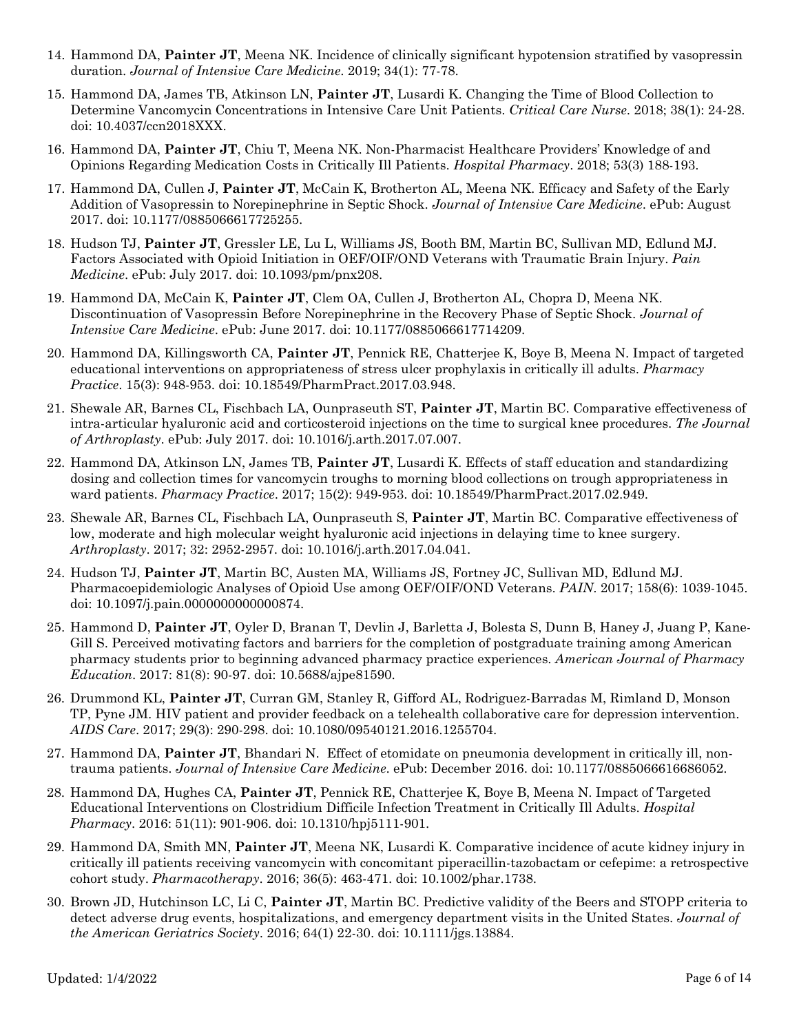- 14. Hammond DA, **Painter JT**, Meena NK. Incidence of clinically significant hypotension stratified by vasopressin duration. *Journal of Intensive Care Medicine*. 2019; 34(1): 77-78.
- 15. Hammond DA, James TB, Atkinson LN, **Painter JT**, Lusardi K. Changing the Time of Blood Collection to Determine Vancomycin Concentrations in Intensive Care Unit Patients. *Critical Care Nurse*. 2018; 38(1): 24-28. doi: 10.4037/ccn2018XXX.
- 16. Hammond DA, **Painter JT**, Chiu T, Meena NK. Non-Pharmacist Healthcare Providers' Knowledge of and Opinions Regarding Medication Costs in Critically Ill Patients. *Hospital Pharmacy*. 2018; 53(3) 188-193.
- 17. Hammond DA, Cullen J, **Painter JT**, McCain K, Brotherton AL, Meena NK. Efficacy and Safety of the Early Addition of Vasopressin to Norepinephrine in Septic Shock. *Journal of Intensive Care Medicine*. ePub: August 2017. doi: 10.1177/0885066617725255.
- 18. Hudson TJ, **Painter JT**, Gressler LE, Lu L, Williams JS, Booth BM, Martin BC, Sullivan MD, Edlund MJ. Factors Associated with Opioid Initiation in OEF/OIF/OND Veterans with Traumatic Brain Injury. *Pain Medicine*. ePub: July 2017. doi: 10.1093/pm/pnx208.
- 19. Hammond DA, McCain K, **Painter JT**, Clem OA, Cullen J, Brotherton AL, Chopra D, Meena NK. Discontinuation of Vasopressin Before Norepinephrine in the Recovery Phase of Septic Shock. *Journal of Intensive Care Medicine*. ePub: June 2017. doi: 10.1177/0885066617714209.
- 20. Hammond DA, Killingsworth CA, **Painter JT**, Pennick RE, Chatterjee K, Boye B, Meena N. Impact of targeted educational interventions on appropriateness of stress ulcer prophylaxis in critically ill adults. *Pharmacy Practice*. 15(3): 948-953. doi: 10.18549/PharmPract.2017.03.948.
- 21. Shewale AR, Barnes CL, Fischbach LA, Ounpraseuth ST, **Painter JT**, Martin BC. Comparative effectiveness of intra-articular hyaluronic acid and corticosteroid injections on the time to surgical knee procedures. *The Journal of Arthroplasty*. ePub: July 2017. doi: 10.1016/j.arth.2017.07.007.
- 22. Hammond DA, Atkinson LN, James TB, **Painter JT**, Lusardi K. Effects of staff education and standardizing dosing and collection times for vancomycin troughs to morning blood collections on trough appropriateness in ward patients. *Pharmacy Practice*. 2017; 15(2): 949-953. doi: 10.18549/PharmPract.2017.02.949.
- 23. Shewale AR, Barnes CL, Fischbach LA, Ounpraseuth S, **Painter JT**, Martin BC. Comparative effectiveness of low, moderate and high molecular weight hyaluronic acid injections in delaying time to knee surgery. *Arthroplasty*. 2017; 32: 2952-2957. doi: 10.1016/j.arth.2017.04.041.
- 24. Hudson TJ, **Painter JT**, Martin BC, Austen MA, Williams JS, Fortney JC, Sullivan MD, Edlund MJ. Pharmacoepidemiologic Analyses of Opioid Use among OEF/OIF/OND Veterans. *PAIN*. 2017; 158(6): 1039-1045. doi: 10.1097/j.pain.0000000000000874.
- 25. Hammond D, **Painter JT**, Oyler D, Branan T, Devlin J, Barletta J, Bolesta S, Dunn B, Haney J, Juang P, Kane-Gill S. Perceived motivating factors and barriers for the completion of postgraduate training among American pharmacy students prior to beginning advanced pharmacy practice experiences. *American Journal of Pharmacy Education*. 2017: 81(8): 90-97. doi: 10.5688/ajpe81590.
- 26. Drummond KL, **Painter JT**, Curran GM, Stanley R, Gifford AL, Rodriguez-Barradas M, Rimland D, Monson TP, Pyne JM. HIV patient and provider feedback on a telehealth collaborative care for depression intervention. *AIDS Care*. 2017; 29(3): 290-298. doi: 10.1080/09540121.2016.1255704.
- 27. Hammond DA, **Painter JT**, Bhandari N. Effect of etomidate on pneumonia development in critically ill, nontrauma patients. *Journal of Intensive Care Medicine*. ePub: December 2016. doi: 10.1177/0885066616686052.
- 28. Hammond DA, Hughes CA, **Painter JT**, Pennick RE, Chatterjee K, Boye B, Meena N. Impact of Targeted Educational Interventions on Clostridium Difficile Infection Treatment in Critically Ill Adults. *Hospital Pharmacy*. 2016: 51(11): 901-906. doi: 10.1310/hpj5111-901.
- 29. Hammond DA, Smith MN, **Painter JT**, Meena NK, Lusardi K. Comparative incidence of acute kidney injury in critically ill patients receiving vancomycin with concomitant piperacillin-tazobactam or cefepime: a retrospective cohort study. *Pharmacotherapy*. 2016; 36(5): 463-471. doi: 10.1002/phar.1738.
- 30. Brown JD, Hutchinson LC, Li C, **Painter JT**, Martin BC. Predictive validity of the Beers and STOPP criteria to detect adverse drug events, hospitalizations, and emergency department visits in the United States. *Journal of the American Geriatrics Society*. 2016; 64(1) 22-30. doi: 10.1111/jgs.13884.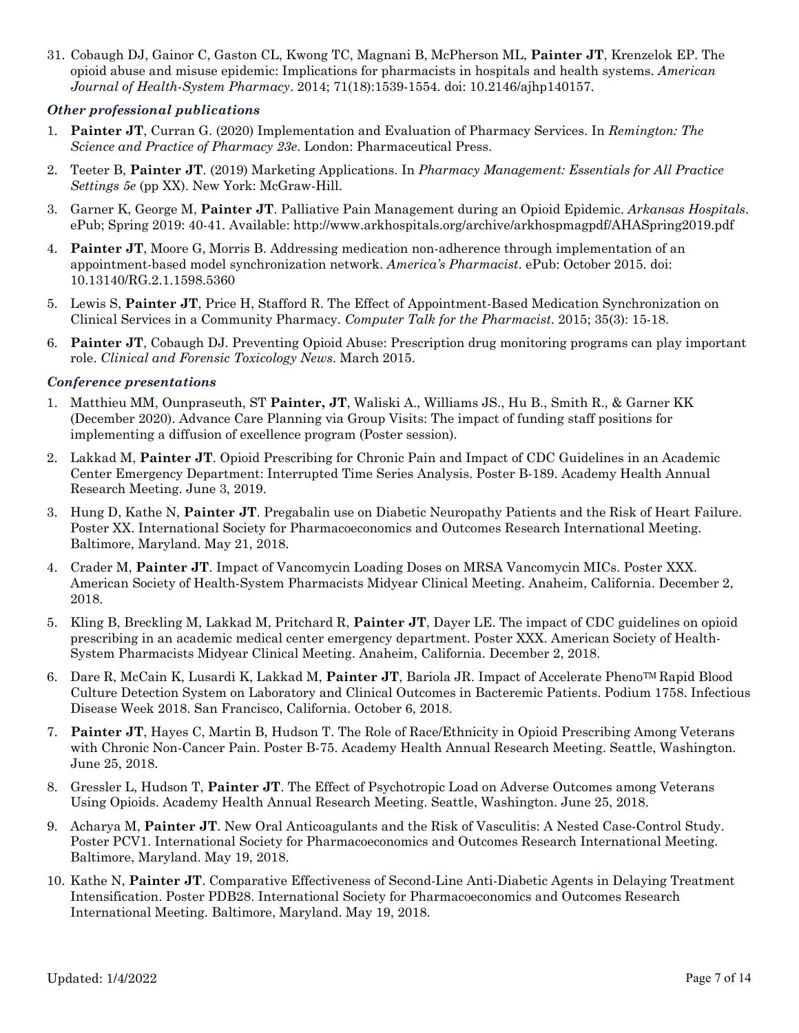31. Cobaugh DJ, Gainor C, Gaston CL, Kwong TC, Magnani B, McPherson ML, **Painter JT**, Krenzelok EP. The opioid abuse and misuse epidemic: Implications for pharmacists in hospitals and health systems. *American Journal of Health-System Pharmacy*. 2014; 71(18):1539-1554. doi: 10.2146/ajhp140157.

#### *Other professional publications*

- 1. **Painter JT**, Curran G. (2020) Implementation and Evaluation of Pharmacy Services. In *Remington: The Science and Practice of Pharmacy 23e*. London: Pharmaceutical Press.
- 2. Teeter B, **Painter JT**. (2019) Marketing Applications. In *Pharmacy Management: Essentials for All Practice Settings 5e* (pp XX). New York: McGraw-Hill.
- 3. Garner K, George M, **Painter JT**. Palliative Pain Management during an Opioid Epidemic. *Arkansas Hospitals*. ePub; Spring 2019: 40-41. Available: http://www.arkhospitals.org/archive/arkhospmagpdf/AHASpring2019.pdf
- 4. **Painter JT**, Moore G, Morris B. Addressing medication non-adherence through implementation of an appointment-based model synchronization network. *America's Pharmacist*. ePub: October 2015. doi: 10.13140/RG.2.1.1598.5360
- 5. Lewis S, **Painter JT**, Price H, Stafford R. The Effect of Appointment-Based Medication Synchronization on Clinical Services in a Community Pharmacy. *Computer Talk for the Pharmacist*. 2015; 35(3): 15-18.
- 6. **Painter JT**, Cobaugh DJ. Preventing Opioid Abuse: Prescription drug monitoring programs can play important role. *Clinical and Forensic Toxicology News*. March 2015.

#### *Conference presentations*

- 1. Matthieu MM, Ounpraseuth, ST **Painter, JT**, Waliski A., Williams JS., Hu B., Smith R., & Garner KK (December 2020). Advance Care Planning via Group Visits: The impact of funding staff positions for implementing a diffusion of excellence program (Poster session).
- 2. Lakkad M, **Painter JT**. Opioid Prescribing for Chronic Pain and Impact of CDC Guidelines in an Academic Center Emergency Department: Interrupted Time Series Analysis. Poster B-189. Academy Health Annual Research Meeting. June 3, 2019.
- 3. Hung D, Kathe N, **Painter JT**. Pregabalin use on Diabetic Neuropathy Patients and the Risk of Heart Failure. Poster XX. International Society for Pharmacoeconomics and Outcomes Research International Meeting. Baltimore, Maryland. May 21, 2018.
- 4. Crader M, **Painter JT**. Impact of Vancomycin Loading Doses on MRSA Vancomycin MICs. Poster XXX. American Society of Health-System Pharmacists Midyear Clinical Meeting. Anaheim, California. December 2, 2018.
- 5. Kling B, Breckling M, Lakkad M, Pritchard R, **Painter JT**, Dayer LE. The impact of CDC guidelines on opioid prescribing in an academic medical center emergency department. Poster XXX. American Society of Health-System Pharmacists Midyear Clinical Meeting. Anaheim, California. December 2, 2018.
- 6. Dare R, McCain K, Lusardi K, Lakkad M, **Painter JT**, Bariola JR. Impact of Accelerate PhenoTM Rapid Blood Culture Detection System on Laboratory and Clinical Outcomes in Bacteremic Patients. Podium 1758. Infectious Disease Week 2018. San Francisco, California. October 6, 2018.
- 7. **Painter JT**, Hayes C, Martin B, Hudson T. The Role of Race/Ethnicity in Opioid Prescribing Among Veterans with Chronic Non-Cancer Pain. Poster B-75. Academy Health Annual Research Meeting. Seattle, Washington. June 25, 2018.
- 8. Gressler L, Hudson T, **Painter JT**. The Effect of Psychotropic Load on Adverse Outcomes among Veterans Using Opioids. Academy Health Annual Research Meeting. Seattle, Washington. June 25, 2018.
- 9. Acharya M, **Painter JT**. New Oral Anticoagulants and the Risk of Vasculitis: A Nested Case-Control Study. Poster PCV1. International Society for Pharmacoeconomics and Outcomes Research International Meeting. Baltimore, Maryland. May 19, 2018.
- 10. Kathe N, **Painter JT**. Comparative Effectiveness of Second-Line Anti-Diabetic Agents in Delaying Treatment Intensification. Poster PDB28. International Society for Pharmacoeconomics and Outcomes Research International Meeting. Baltimore, Maryland. May 19, 2018.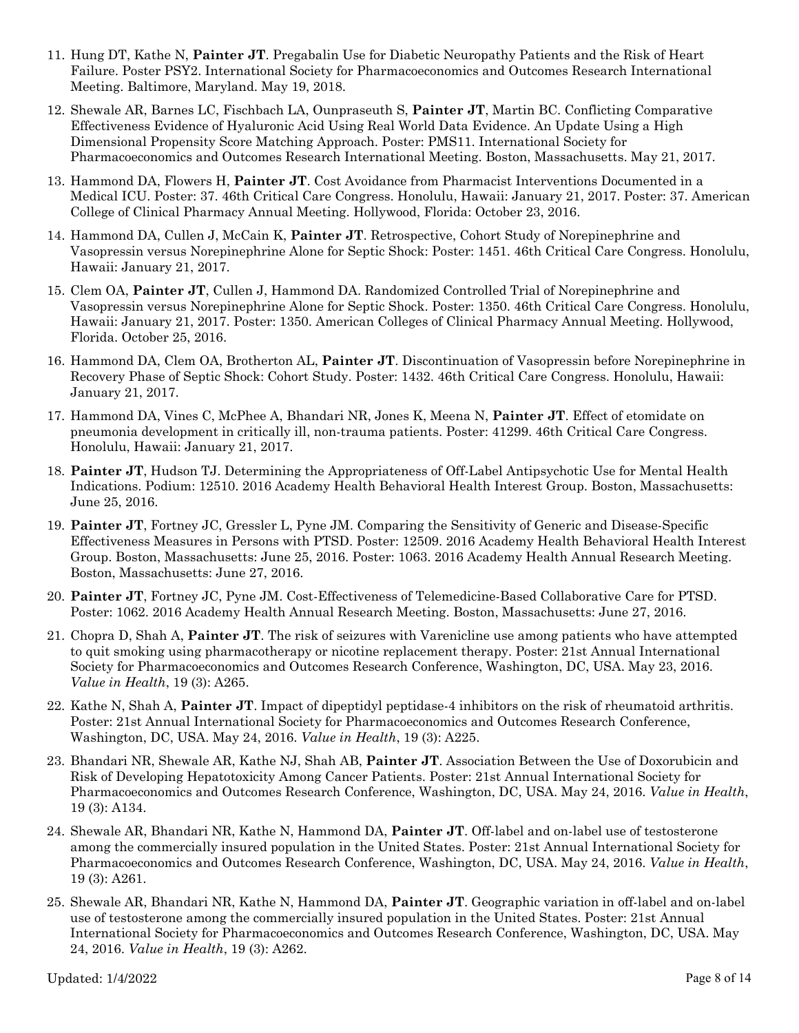- 11. Hung DT, Kathe N, **Painter JT**. Pregabalin Use for Diabetic Neuropathy Patients and the Risk of Heart Failure. Poster PSY2. International Society for Pharmacoeconomics and Outcomes Research International Meeting. Baltimore, Maryland. May 19, 2018.
- 12. Shewale AR, Barnes LC, Fischbach LA, Ounpraseuth S, **Painter JT**, Martin BC. Conflicting Comparative Effectiveness Evidence of Hyaluronic Acid Using Real World Data Evidence. An Update Using a High Dimensional Propensity Score Matching Approach. Poster: PMS11. International Society for Pharmacoeconomics and Outcomes Research International Meeting. Boston, Massachusetts. May 21, 2017.
- 13. Hammond DA, Flowers H, **Painter JT**. Cost Avoidance from Pharmacist Interventions Documented in a Medical ICU. Poster: 37. 46th Critical Care Congress. Honolulu, Hawaii: January 21, 2017. Poster: 37. American College of Clinical Pharmacy Annual Meeting. Hollywood, Florida: October 23, 2016.
- 14. Hammond DA, Cullen J, McCain K, **Painter JT**. Retrospective, Cohort Study of Norepinephrine and Vasopressin versus Norepinephrine Alone for Septic Shock: Poster: 1451. 46th Critical Care Congress. Honolulu, Hawaii: January 21, 2017.
- 15. Clem OA, **Painter JT**, Cullen J, Hammond DA. Randomized Controlled Trial of Norepinephrine and Vasopressin versus Norepinephrine Alone for Septic Shock. Poster: 1350. 46th Critical Care Congress. Honolulu, Hawaii: January 21, 2017. Poster: 1350. American Colleges of Clinical Pharmacy Annual Meeting. Hollywood, Florida. October 25, 2016.
- 16. Hammond DA, Clem OA, Brotherton AL, **Painter JT**. Discontinuation of Vasopressin before Norepinephrine in Recovery Phase of Septic Shock: Cohort Study. Poster: 1432. 46th Critical Care Congress. Honolulu, Hawaii: January 21, 2017.
- 17. Hammond DA, Vines C, McPhee A, Bhandari NR, Jones K, Meena N, **Painter JT**. Effect of etomidate on pneumonia development in critically ill, non-trauma patients. Poster: 41299. 46th Critical Care Congress. Honolulu, Hawaii: January 21, 2017.
- 18. **Painter JT**, Hudson TJ. Determining the Appropriateness of Off-Label Antipsychotic Use for Mental Health Indications. Podium: 12510. 2016 Academy Health Behavioral Health Interest Group. Boston, Massachusetts: June 25, 2016.
- 19. **Painter JT**, Fortney JC, Gressler L, Pyne JM. Comparing the Sensitivity of Generic and Disease-Specific Effectiveness Measures in Persons with PTSD. Poster: 12509. 2016 Academy Health Behavioral Health Interest Group. Boston, Massachusetts: June 25, 2016. Poster: 1063. 2016 Academy Health Annual Research Meeting. Boston, Massachusetts: June 27, 2016.
- 20. **Painter JT**, Fortney JC, Pyne JM. Cost-Effectiveness of Telemedicine-Based Collaborative Care for PTSD. Poster: 1062. 2016 Academy Health Annual Research Meeting. Boston, Massachusetts: June 27, 2016.
- 21. Chopra D, Shah A, **Painter JT**. The risk of seizures with Varenicline use among patients who have attempted to quit smoking using pharmacotherapy or nicotine replacement therapy. Poster: 21st Annual International Society for Pharmacoeconomics and Outcomes Research Conference, Washington, DC, USA. May 23, 2016. *Value in Health*, 19 (3): A265.
- 22. Kathe N, Shah A, **Painter JT**. Impact of dipeptidyl peptidase-4 inhibitors on the risk of rheumatoid arthritis. Poster: 21st Annual International Society for Pharmacoeconomics and Outcomes Research Conference, Washington, DC, USA. May 24, 2016. *Value in Health*, 19 (3): A225.
- 23. Bhandari NR, Shewale AR, Kathe NJ, Shah AB, **Painter JT**. Association Between the Use of Doxorubicin and Risk of Developing Hepatotoxicity Among Cancer Patients. Poster: 21st Annual International Society for Pharmacoeconomics and Outcomes Research Conference, Washington, DC, USA. May 24, 2016. *Value in Health*, 19 (3): A134.
- 24. Shewale AR, Bhandari NR, Kathe N, Hammond DA, **Painter JT**. Off-label and on-label use of testosterone among the commercially insured population in the United States. Poster: 21st Annual International Society for Pharmacoeconomics and Outcomes Research Conference, Washington, DC, USA. May 24, 2016. *Value in Health*, 19 (3): A261.
- 25. Shewale AR, Bhandari NR, Kathe N, Hammond DA, **Painter JT**. Geographic variation in off-label and on-label use of testosterone among the commercially insured population in the United States. Poster: 21st Annual International Society for Pharmacoeconomics and Outcomes Research Conference, Washington, DC, USA. May 24, 2016. *Value in Health*, 19 (3): A262.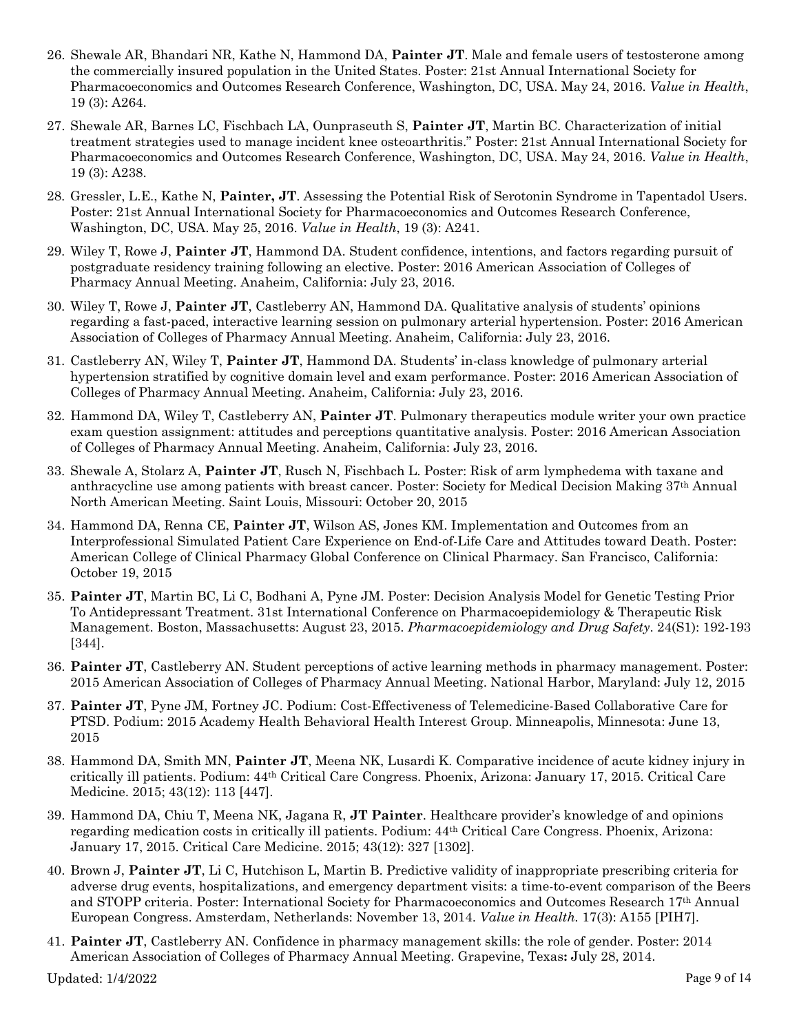- 26. Shewale AR, Bhandari NR, Kathe N, Hammond DA, **Painter JT**. Male and female users of testosterone among the commercially insured population in the United States. Poster: 21st Annual International Society for Pharmacoeconomics and Outcomes Research Conference, Washington, DC, USA. May 24, 2016. *Value in Health*, 19 (3): A264.
- 27. Shewale AR, Barnes LC, Fischbach LA, Ounpraseuth S, **Painter JT**, Martin BC. Characterization of initial treatment strategies used to manage incident knee osteoarthritis." Poster: 21st Annual International Society for Pharmacoeconomics and Outcomes Research Conference, Washington, DC, USA. May 24, 2016. *Value in Health*, 19 (3): A238.
- 28. Gressler, L.E., Kathe N, **Painter, JT**. Assessing the Potential Risk of Serotonin Syndrome in Tapentadol Users. Poster: 21st Annual International Society for Pharmacoeconomics and Outcomes Research Conference, Washington, DC, USA. May 25, 2016. *Value in Health*, 19 (3): A241.
- 29. Wiley T, Rowe J, **Painter JT**, Hammond DA. Student confidence, intentions, and factors regarding pursuit of postgraduate residency training following an elective. Poster: 2016 American Association of Colleges of Pharmacy Annual Meeting. Anaheim, California: July 23, 2016.
- 30. Wiley T, Rowe J, **Painter JT**, Castleberry AN, Hammond DA. Qualitative analysis of students' opinions regarding a fast-paced, interactive learning session on pulmonary arterial hypertension. Poster: 2016 American Association of Colleges of Pharmacy Annual Meeting. Anaheim, California: July 23, 2016.
- 31. Castleberry AN, Wiley T, **Painter JT**, Hammond DA. Students' in-class knowledge of pulmonary arterial hypertension stratified by cognitive domain level and exam performance. Poster: 2016 American Association of Colleges of Pharmacy Annual Meeting. Anaheim, California: July 23, 2016.
- 32. Hammond DA, Wiley T, Castleberry AN, **Painter JT**. Pulmonary therapeutics module writer your own practice exam question assignment: attitudes and perceptions quantitative analysis. Poster: 2016 American Association of Colleges of Pharmacy Annual Meeting. Anaheim, California: July 23, 2016.
- 33. Shewale A, Stolarz A, **Painter JT**, Rusch N, Fischbach L. Poster: Risk of arm lymphedema with taxane and anthracycline use among patients with breast cancer. Poster: Society for Medical Decision Making 37th Annual North American Meeting. Saint Louis, Missouri: October 20, 2015
- 34. Hammond DA, Renna CE, **Painter JT**, Wilson AS, Jones KM. Implementation and Outcomes from an Interprofessional Simulated Patient Care Experience on End-of-Life Care and Attitudes toward Death. Poster: American College of Clinical Pharmacy Global Conference on Clinical Pharmacy. San Francisco, California: October 19, 2015
- 35. **Painter JT**, Martin BC, Li C, Bodhani A, Pyne JM. Poster: Decision Analysis Model for Genetic Testing Prior To Antidepressant Treatment. 31st International Conference on Pharmacoepidemiology & Therapeutic Risk Management. Boston, Massachusetts: August 23, 2015. *Pharmacoepidemiology and Drug Safety*. 24(S1): 192-193 [344].
- 36. **Painter JT**, Castleberry AN. Student perceptions of active learning methods in pharmacy management. Poster: 2015 American Association of Colleges of Pharmacy Annual Meeting. National Harbor, Maryland: July 12, 2015
- 37. **Painter JT**, Pyne JM, Fortney JC. Podium: Cost-Effectiveness of Telemedicine-Based Collaborative Care for PTSD. Podium: 2015 Academy Health Behavioral Health Interest Group. Minneapolis, Minnesota: June 13, 2015
- 38. Hammond DA, Smith MN, **Painter JT**, Meena NK, Lusardi K. Comparative incidence of acute kidney injury in critically ill patients. Podium: 44th Critical Care Congress. Phoenix, Arizona: January 17, 2015. Critical Care Medicine. 2015; 43(12): 113 [447].
- 39. Hammond DA, Chiu T, Meena NK, Jagana R, **JT Painter**. Healthcare provider's knowledge of and opinions regarding medication costs in critically ill patients. Podium: 44th Critical Care Congress. Phoenix, Arizona: January 17, 2015. Critical Care Medicine. 2015; 43(12): 327 [1302].
- 40. Brown J, **Painter JT**, Li C, Hutchison L, Martin B. Predictive validity of inappropriate prescribing criteria for adverse drug events, hospitalizations, and emergency department visits: a time-to-event comparison of the Beers and STOPP criteria. Poster: International Society for Pharmacoeconomics and Outcomes Research 17th Annual European Congress. Amsterdam, Netherlands: November 13, 2014. *Value in Health.* 17(3): A155 [PIH7].
- 41. **Painter JT**, Castleberry AN. Confidence in pharmacy management skills: the role of gender. Poster: 2014 American Association of Colleges of Pharmacy Annual Meeting. Grapevine, Texas**:** July 28, 2014.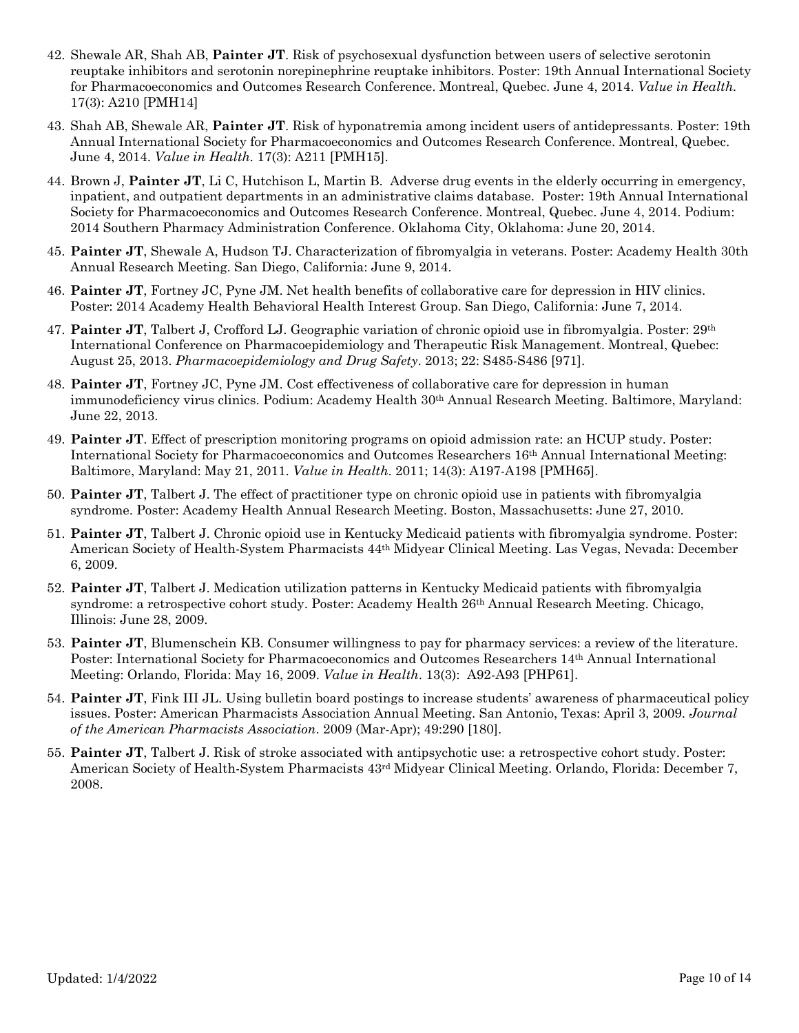- 42. Shewale AR, Shah AB, **Painter JT**. Risk of psychosexual dysfunction between users of selective serotonin reuptake inhibitors and serotonin norepinephrine reuptake inhibitors. Poster: 19th Annual International Society for Pharmacoeconomics and Outcomes Research Conference. Montreal, Quebec. June 4, 2014. *Value in Health.* 17(3): A210 [PMH14]
- 43. Shah AB, Shewale AR, **Painter JT**. Risk of hyponatremia among incident users of antidepressants. Poster: 19th Annual International Society for Pharmacoeconomics and Outcomes Research Conference. Montreal, Quebec. June 4, 2014. *Value in Health.* 17(3): A211 [PMH15].
- 44. Brown J, **Painter JT**, Li C, Hutchison L, Martin B. Adverse drug events in the elderly occurring in emergency, inpatient, and outpatient departments in an administrative claims database. Poster: 19th Annual International Society for Pharmacoeconomics and Outcomes Research Conference. Montreal, Quebec. June 4, 2014. Podium: 2014 Southern Pharmacy Administration Conference. Oklahoma City, Oklahoma: June 20, 2014.
- 45. **Painter JT**, Shewale A, Hudson TJ. Characterization of fibromyalgia in veterans. Poster: Academy Health 30th Annual Research Meeting. San Diego, California: June 9, 2014.
- 46. **Painter JT**, Fortney JC, Pyne JM. Net health benefits of collaborative care for depression in HIV clinics. Poster: 2014 Academy Health Behavioral Health Interest Group. San Diego, California: June 7, 2014.
- 47. **Painter JT**, Talbert J, Crofford LJ. Geographic variation of chronic opioid use in fibromyalgia. Poster: 29th International Conference on Pharmacoepidemiology and Therapeutic Risk Management. Montreal, Quebec: August 25, 2013. *Pharmacoepidemiology and Drug Safety*. 2013; 22: S485-S486 [971].
- 48. **Painter JT**, Fortney JC, Pyne JM. Cost effectiveness of collaborative care for depression in human immunodeficiency virus clinics. Podium: Academy Health 30th Annual Research Meeting. Baltimore, Maryland: June 22, 2013.
- 49. **Painter JT**. Effect of prescription monitoring programs on opioid admission rate: an HCUP study. Poster: International Society for Pharmacoeconomics and Outcomes Researchers 16th Annual International Meeting: Baltimore, Maryland: May 21, 2011. *Value in Health*. 2011; 14(3): A197-A198 [PMH65].
- 50. **Painter JT**, Talbert J. The effect of practitioner type on chronic opioid use in patients with fibromyalgia syndrome. Poster: Academy Health Annual Research Meeting. Boston, Massachusetts: June 27, 2010.
- 51. **Painter JT**, Talbert J. Chronic opioid use in Kentucky Medicaid patients with fibromyalgia syndrome. Poster: American Society of Health-System Pharmacists 44th Midyear Clinical Meeting. Las Vegas, Nevada: December 6, 2009.
- 52. **Painter JT**, Talbert J. Medication utilization patterns in Kentucky Medicaid patients with fibromyalgia syndrome: a retrospective cohort study. Poster: Academy Health 26th Annual Research Meeting. Chicago, Illinois: June 28, 2009.
- 53. **Painter JT**, Blumenschein KB. Consumer willingness to pay for pharmacy services: a review of the literature. Poster: International Society for Pharmacoeconomics and Outcomes Researchers 14th Annual International Meeting: Orlando, Florida: May 16, 2009. *Value in Health*. 13(3): A92-A93 [PHP61].
- 54. **Painter JT**, Fink III JL. Using bulletin board postings to increase students' awareness of pharmaceutical policy issues. Poster: American Pharmacists Association Annual Meeting. San Antonio, Texas: April 3, 2009. *Journal of the American Pharmacists Association*. 2009 (Mar-Apr); 49:290 [180].
- 55. **Painter JT**, Talbert J. Risk of stroke associated with antipsychotic use: a retrospective cohort study. Poster: American Society of Health-System Pharmacists  $43<sup>rd</sup>$  Midyear Clinical Meeting. Orlando, Florida: December 7, 2008.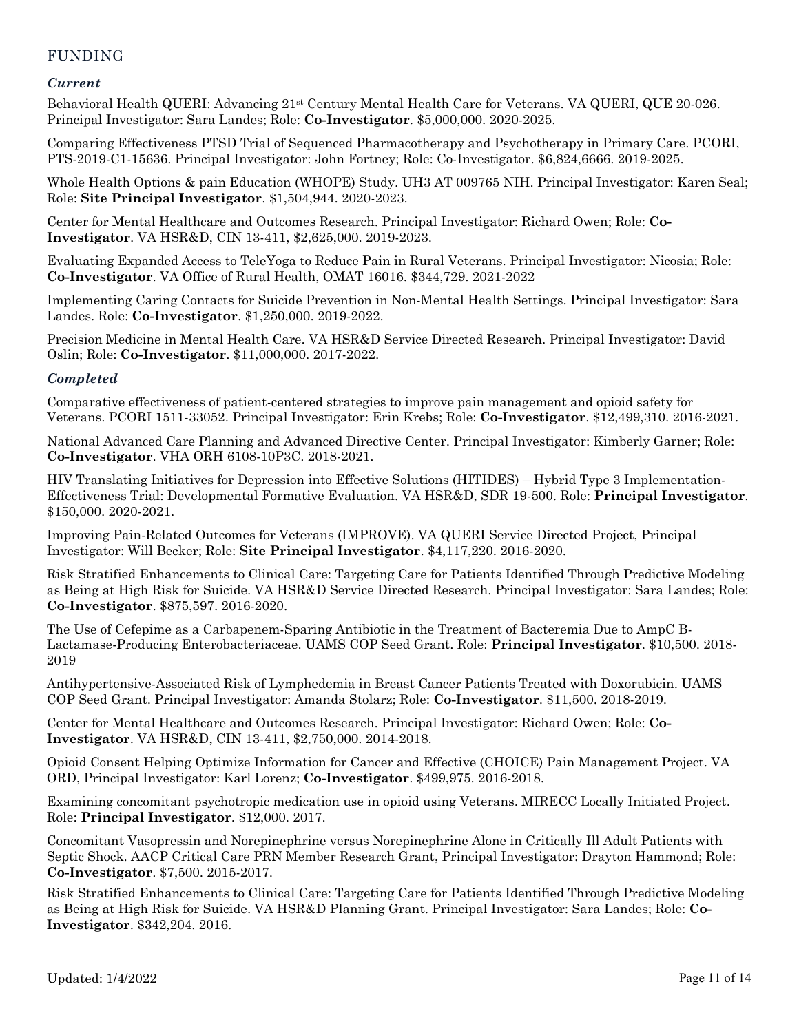# FUNDING

## *Current*

Behavioral Health QUERI: Advancing 21st Century Mental Health Care for Veterans. VA QUERI, QUE 20-026. Principal Investigator: Sara Landes; Role: **Co-Investigator**. \$5,000,000. 2020-2025.

Comparing Effectiveness PTSD Trial of Sequenced Pharmacotherapy and Psychotherapy in Primary Care. PCORI, PTS-2019-C1-15636. Principal Investigator: John Fortney; Role: Co-Investigator. \$6,824,6666. 2019-2025.

Whole Health Options & pain Education (WHOPE) Study. UH3 AT 009765 NIH. Principal Investigator: Karen Seal; Role: **Site Principal Investigator**. \$1,504,944. 2020-2023.

Center for Mental Healthcare and Outcomes Research. Principal Investigator: Richard Owen; Role: **Co-Investigator**. VA HSR&D, CIN 13-411, \$2,625,000. 2019-2023.

Evaluating Expanded Access to TeleYoga to Reduce Pain in Rural Veterans. Principal Investigator: Nicosia; Role: **Co-Investigator**. VA Office of Rural Health, OMAT 16016. \$344,729. 2021-2022

Implementing Caring Contacts for Suicide Prevention in Non-Mental Health Settings. Principal Investigator: Sara Landes. Role: **Co-Investigator**. \$1,250,000. 2019-2022.

Precision Medicine in Mental Health Care. VA HSR&D Service Directed Research. Principal Investigator: David Oslin; Role: **Co-Investigator**. \$11,000,000. 2017-2022.

## *Completed*

Comparative effectiveness of patient-centered strategies to improve pain management and opioid safety for Veterans. PCORI 1511-33052. Principal Investigator: Erin Krebs; Role: **Co-Investigator**. \$12,499,310. 2016-2021.

National Advanced Care Planning and Advanced Directive Center. Principal Investigator: Kimberly Garner; Role: **Co-Investigator**. VHA ORH 6108-10P3C. 2018-2021.

HIV Translating Initiatives for Depression into Effective Solutions (HITIDES) – Hybrid Type 3 Implementation-Effectiveness Trial: Developmental Formative Evaluation. VA HSR&D, SDR 19-500. Role: **Principal Investigator**. \$150,000. 2020-2021.

Improving Pain-Related Outcomes for Veterans (IMPROVE). VA QUERI Service Directed Project, Principal Investigator: Will Becker; Role: **Site Principal Investigator**. \$4,117,220. 2016-2020.

Risk Stratified Enhancements to Clinical Care: Targeting Care for Patients Identified Through Predictive Modeling as Being at High Risk for Suicide. VA HSR&D Service Directed Research. Principal Investigator: Sara Landes; Role: **Co-Investigator**. \$875,597. 2016-2020.

The Use of Cefepime as a Carbapenem-Sparing Antibiotic in the Treatment of Bacteremia Due to AmpC B-Lactamase-Producing Enterobacteriaceae. UAMS COP Seed Grant. Role: **Principal Investigator**. \$10,500. 2018- 2019

Antihypertensive-Associated Risk of Lymphedemia in Breast Cancer Patients Treated with Doxorubicin. UAMS COP Seed Grant. Principal Investigator: Amanda Stolarz; Role: **Co-Investigator**. \$11,500. 2018-2019.

Center for Mental Healthcare and Outcomes Research. Principal Investigator: Richard Owen; Role: **Co-Investigator**. VA HSR&D, CIN 13-411, \$2,750,000. 2014-2018.

Opioid Consent Helping Optimize Information for Cancer and Effective (CHOICE) Pain Management Project. VA ORD, Principal Investigator: Karl Lorenz; **Co-Investigator**. \$499,975. 2016-2018.

Examining concomitant psychotropic medication use in opioid using Veterans. MIRECC Locally Initiated Project. Role: **Principal Investigator**. \$12,000. 2017.

Concomitant Vasopressin and Norepinephrine versus Norepinephrine Alone in Critically Ill Adult Patients with Septic Shock. AACP Critical Care PRN Member Research Grant, Principal Investigator: Drayton Hammond; Role: **Co-Investigator**. \$7,500. 2015-2017.

Risk Stratified Enhancements to Clinical Care: Targeting Care for Patients Identified Through Predictive Modeling as Being at High Risk for Suicide. VA HSR&D Planning Grant. Principal Investigator: Sara Landes; Role: **Co-Investigator**. \$342,204. 2016.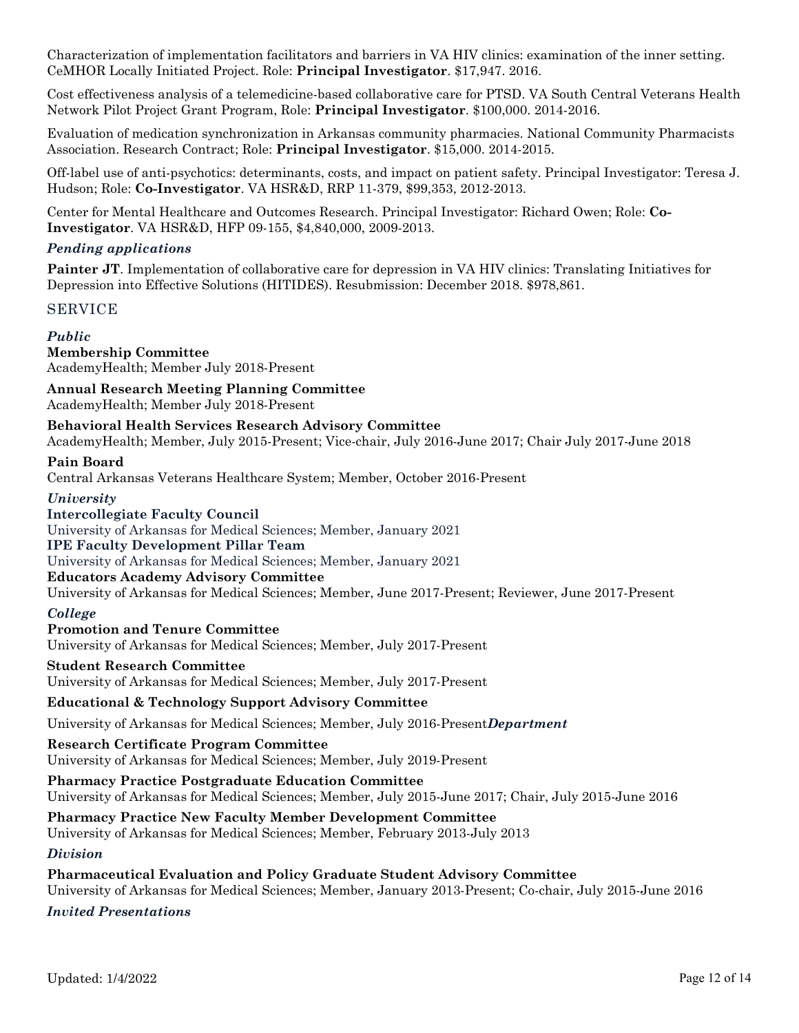Characterization of implementation facilitators and barriers in VA HIV clinics: examination of the inner setting. CeMHOR Locally Initiated Project. Role: **Principal Investigator**. \$17,947. 2016.

Cost effectiveness analysis of a telemedicine-based collaborative care for PTSD. VA South Central Veterans Health Network Pilot Project Grant Program, Role: **Principal Investigator**. \$100,000. 2014-2016.

Evaluation of medication synchronization in Arkansas community pharmacies. National Community Pharmacists Association. Research Contract; Role: **Principal Investigator**. \$15,000. 2014-2015.

Off-label use of anti-psychotics: determinants, costs, and impact on patient safety. Principal Investigator: Teresa J. Hudson; Role: **Co-Investigator**. VA HSR&D, RRP 11-379, \$99,353, 2012-2013.

Center for Mental Healthcare and Outcomes Research. Principal Investigator: Richard Owen; Role: **Co-Investigator**. VA HSR&D, HFP 09-155, \$4,840,000, 2009-2013.

## *Pending applications*

**Painter JT**. Implementation of collaborative care for depression in VA HIV clinics: Translating Initiatives for Depression into Effective Solutions (HITIDES). Resubmission: December 2018. \$978,861.

## SERVICE

# *Public*

**Membership Committee** AcademyHealth; Member July 2018-Present

**Annual Research Meeting Planning Committee** AcademyHealth; Member July 2018-Present

**Behavioral Health Services Research Advisory Committee** AcademyHealth; Member, July 2015-Present; Vice-chair, July 2016-June 2017; Chair July 2017-June 2018

#### **Pain Board**

Central Arkansas Veterans Healthcare System; Member, October 2016-Present

*University* **Intercollegiate Faculty Council**  University of Arkansas for Medical Sciences; Member, January 2021 **IPE Faculty Development Pillar Team**

University of Arkansas for Medical Sciences; Member, January 2021

**Educators Academy Advisory Committee**

University of Arkansas for Medical Sciences; Member, June 2017-Present; Reviewer, June 2017-Present

#### *College*

**Promotion and Tenure Committee** University of Arkansas for Medical Sciences; Member, July 2017-Present

#### **Student Research Committee**

University of Arkansas for Medical Sciences; Member, July 2017-Present

#### **Educational & Technology Support Advisory Committee**

University of Arkansas for Medical Sciences; Member, July 2016-Present*Department*

**Research Certificate Program Committee**

University of Arkansas for Medical Sciences; Member, July 2019-Present

**Pharmacy Practice Postgraduate Education Committee** University of Arkansas for Medical Sciences; Member, July 2015-June 2017; Chair, July 2015-June 2016

## **Pharmacy Practice New Faculty Member Development Committee**

University of Arkansas for Medical Sciences; Member, February 2013-July 2013

*Division*

## **Pharmaceutical Evaluation and Policy Graduate Student Advisory Committee**

University of Arkansas for Medical Sciences; Member, January 2013-Present; Co-chair, July 2015-June 2016

#### *Invited Presentations*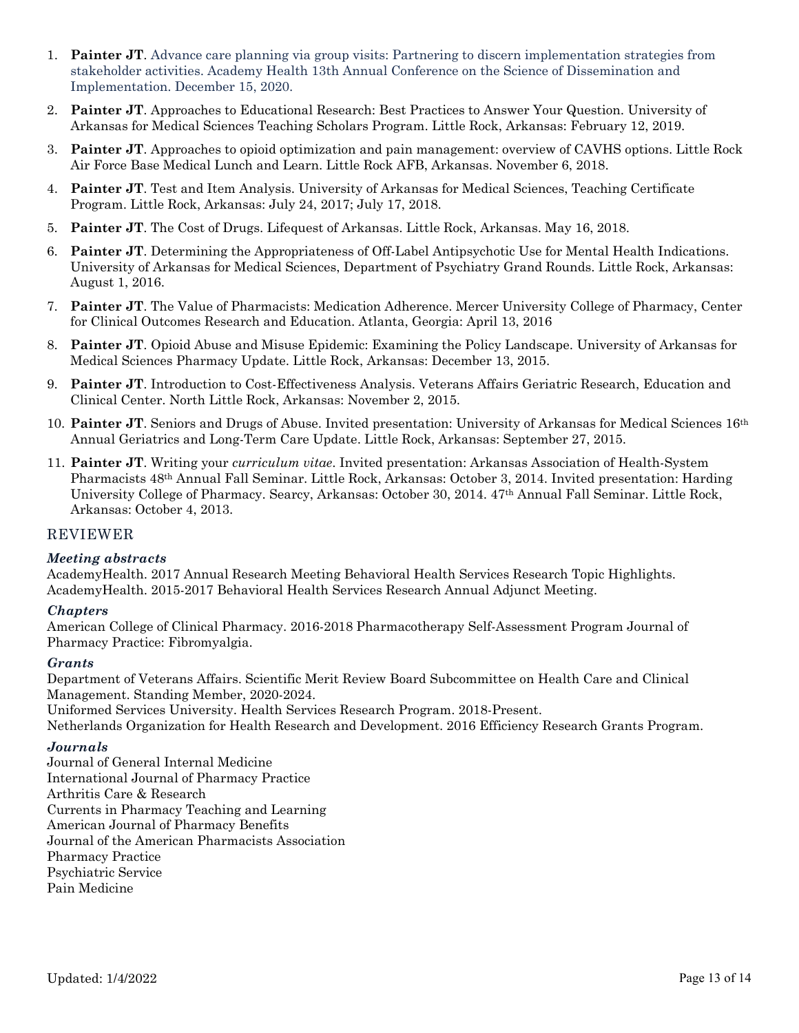- 1. **Painter JT**. Advance care planning via group visits: Partnering to discern implementation strategies from stakeholder activities. Academy Health 13th Annual Conference on the Science of Dissemination and Implementation. December 15, 2020.
- 2. **Painter JT**. Approaches to Educational Research: Best Practices to Answer Your Question. University of Arkansas for Medical Sciences Teaching Scholars Program. Little Rock, Arkansas: February 12, 2019.
- 3. **Painter JT**. Approaches to opioid optimization and pain management: overview of CAVHS options. Little Rock Air Force Base Medical Lunch and Learn. Little Rock AFB, Arkansas. November 6, 2018.
- 4. **Painter JT**. Test and Item Analysis. University of Arkansas for Medical Sciences, Teaching Certificate Program. Little Rock, Arkansas: July 24, 2017; July 17, 2018.
- 5. **Painter JT**. The Cost of Drugs. Lifequest of Arkansas. Little Rock, Arkansas. May 16, 2018.
- 6. **Painter JT**. Determining the Appropriateness of Off-Label Antipsychotic Use for Mental Health Indications. University of Arkansas for Medical Sciences, Department of Psychiatry Grand Rounds. Little Rock, Arkansas: August 1, 2016.
- 7. **Painter JT**. The Value of Pharmacists: Medication Adherence. Mercer University College of Pharmacy, Center for Clinical Outcomes Research and Education. Atlanta, Georgia: April 13, 2016
- 8. **Painter JT**. Opioid Abuse and Misuse Epidemic: Examining the Policy Landscape. University of Arkansas for Medical Sciences Pharmacy Update. Little Rock, Arkansas: December 13, 2015.
- 9. **Painter JT**. Introduction to Cost-Effectiveness Analysis. Veterans Affairs Geriatric Research, Education and Clinical Center. North Little Rock, Arkansas: November 2, 2015.
- 10. **Painter JT**. Seniors and Drugs of Abuse. Invited presentation: University of Arkansas for Medical Sciences 16th Annual Geriatrics and Long-Term Care Update. Little Rock, Arkansas: September 27, 2015.
- 11. **Painter JT**. Writing your *curriculum vitae*. Invited presentation: Arkansas Association of Health-System Pharmacists 48th Annual Fall Seminar. Little Rock, Arkansas: October 3, 2014. Invited presentation: Harding University College of Pharmacy. Searcy, Arkansas: October 30, 2014. 47th Annual Fall Seminar. Little Rock, Arkansas: October 4, 2013.

#### REVIEWER

#### *Meeting abstracts*

AcademyHealth. 2017 Annual Research Meeting Behavioral Health Services Research Topic Highlights. AcademyHealth. 2015-2017 Behavioral Health Services Research Annual Adjunct Meeting.

#### *Chapters*

American College of Clinical Pharmacy. 2016-2018 Pharmacotherapy Self-Assessment Program Journal of Pharmacy Practice: Fibromyalgia.

#### *Grants*

Department of Veterans Affairs. Scientific Merit Review Board Subcommittee on Health Care and Clinical Management. Standing Member, 2020-2024.

Uniformed Services University. Health Services Research Program. 2018-Present.

Netherlands Organization for Health Research and Development. 2016 Efficiency Research Grants Program.

#### *Journals*

Journal of General Internal Medicine International Journal of Pharmacy Practice Arthritis Care & Research Currents in Pharmacy Teaching and Learning American Journal of Pharmacy Benefits Journal of the American Pharmacists Association Pharmacy Practice Psychiatric Service Pain Medicine